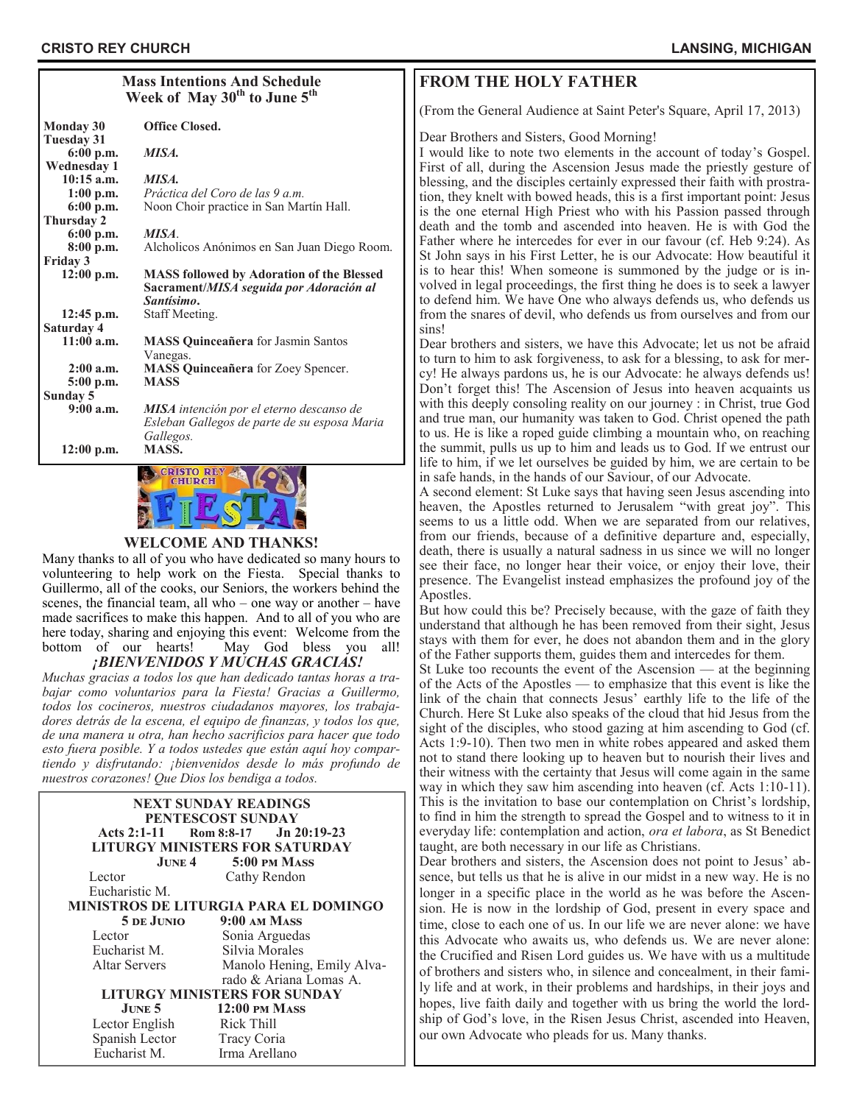| <b>Mass Intentions And Schedule</b><br>Week of May 30 <sup>th</sup> to June 5 <sup>th</sup> |                                                                                                           |  |
|---------------------------------------------------------------------------------------------|-----------------------------------------------------------------------------------------------------------|--|
| Monday 30                                                                                   | <b>Office Closed.</b>                                                                                     |  |
| Tuesday 31<br>6:00 p.m.<br><b>Wednesday 1</b>                                               | MISA.                                                                                                     |  |
| $10:15$ a.m.                                                                                | MISA.                                                                                                     |  |
| $1:00$ p.m.                                                                                 | Práctica del Coro de las 9 a.m.                                                                           |  |
| $6:00$ p.m.                                                                                 | Noon Choir practice in San Martín Hall.                                                                   |  |
| Thursday 2                                                                                  |                                                                                                           |  |
| $6:00$ p.m.                                                                                 | MISA.                                                                                                     |  |
| 8:00 p.m.                                                                                   | Alcholicos Anónimos en San Juan Diego Room.                                                               |  |
| Friday 3                                                                                    |                                                                                                           |  |
| $12:00$ p.m.                                                                                | <b>MASS followed by Adoration of the Blessed</b><br>Sacrament/MISA seguida por Adoración al<br>Santísimo. |  |
| $12:45$ p.m.                                                                                | Staff Meeting.                                                                                            |  |
| Saturday 4                                                                                  |                                                                                                           |  |
| $11:00$ a.m.                                                                                | <b>MASS Quinceañera</b> for Jasmin Santos<br>Vanegas.                                                     |  |
| $2:00$ a.m.                                                                                 | <b>MASS Quinceañera</b> for Zoey Spencer.                                                                 |  |
| 5:00 p.m.                                                                                   | <b>MASS</b>                                                                                               |  |
| Sundav 5                                                                                    |                                                                                                           |  |
| 9:00a.m.                                                                                    | <b>MISA</b> intención por el eterno descanso de<br>Esleban Gallegos de parte de su esposa Maria           |  |
| 12:00 p.m.                                                                                  | Gallegos.<br>MASS.<br>CRICEO BEY EN AVE                                                                   |  |



#### **WELCOME AND THANKS!**

Many thanks to all of you who have dedicated so many hours to volunteering to help work on the Fiesta. Special thanks to Guillermo, all of the cooks, our Seniors, the workers behind the scenes, the financial team, all who – one way or another – have made sacrifices to make this happen. And to all of you who are here today, sharing and enjoying this event: Welcome from the bottom of our hearts! May God bless you all! *¡BIENVENIDOS Y MUCHAS GRACIAS!*

*Muchas gracias a todos los que han dedicado tantas horas a trabajar como voluntarios para la Fiesta! Gracias a Guillermo, todos los cocineros, nuestros ciudadanos mayores, los trabajadores detrás de la escena, el equipo de finanzas, y todos los que, de una manera u otra, han hecho sacrificios para hacer que todo esto fuera posible. Y a todos ustedes que están aquí hoy compartiendo y disfrutando: ¡bienvenidos desde lo más profundo de nuestros corazones! Que Dios los bendiga a todos.*

| <b>NEXT SUNDAY READINGS</b><br>PENTESCOST SUNDAY<br>Acts 2:1-11 Rom 8:8-17 Jn 20:19-23 |                            |  |  |  |
|----------------------------------------------------------------------------------------|----------------------------|--|--|--|
|                                                                                        |                            |  |  |  |
| LITURGY MINISTERS FOR SATURDAY                                                         |                            |  |  |  |
|                                                                                        | $J$ UNE 4 5:00 PM MASS     |  |  |  |
| Lector                                                                                 | Cathy Rendon               |  |  |  |
| Eucharistic M.                                                                         |                            |  |  |  |
| <b>MINISTROS DE LITURGIA PARA EL DOMINGO</b>                                           |                            |  |  |  |
| 5 de Junio                                                                             | 9:00 AM MASS               |  |  |  |
| Lector                                                                                 | Sonia Arguedas             |  |  |  |
| Eucharist M.                                                                           | Silvia Morales             |  |  |  |
| <b>Altar Servers</b>                                                                   | Manolo Hening, Emily Alva- |  |  |  |
|                                                                                        | rado & Ariana Lomas A.     |  |  |  |
| <b>LITURGY MINISTERS FOR SUNDAY</b>                                                    |                            |  |  |  |
| $J$ UNE 5                                                                              | $12:00$ PM MASS            |  |  |  |
| Lector English                                                                         | Rick Thill                 |  |  |  |
| Spanish Lector                                                                         | Tracy Coria                |  |  |  |
| Eucharist M.                                                                           | Irma Arellano              |  |  |  |

## **FROM THE HOLY FATHER**

(From the General Audience at Saint Peter's Square, April 17, 2013)

#### Dear Brothers and Sisters, Good Morning!

I would like to note two elements in the account of today's Gospel. First of all, during the Ascension Jesus made the priestly gesture of blessing, and the disciples certainly expressed their faith with prostration, they knelt with bowed heads, this is a first important point: Jesus is the one eternal High Priest who with his Passion passed through death and the tomb and ascended into heaven. He is with God the Father where he intercedes for ever in our favour (cf. Heb 9:24). As St John says in his First Letter, he is our Advocate: How beautiful it is to hear this! When someone is summoned by the judge or is involved in legal proceedings, the first thing he does is to seek a lawyer to defend him. We have One who always defends us, who defends us from the snares of devil, who defends us from ourselves and from our sins!

Dear brothers and sisters, we have this Advocate; let us not be afraid to turn to him to ask forgiveness, to ask for a blessing, to ask for mercy! He always pardons us, he is our Advocate: he always defends us! Don't forget this! The Ascension of Jesus into heaven acquaints us with this deeply consoling reality on our journey : in Christ, true God and true man, our humanity was taken to God. Christ opened the path to us. He is like a roped guide climbing a mountain who, on reaching the summit, pulls us up to him and leads us to God. If we entrust our life to him, if we let ourselves be guided by him, we are certain to be in safe hands, in the hands of our Saviour, of our Advocate.

A second element: St Luke says that having seen Jesus ascending into heaven, the Apostles returned to Jerusalem "with great joy". This seems to us a little odd. When we are separated from our relatives, from our friends, because of a definitive departure and, especially, death, there is usually a natural sadness in us since we will no longer see their face, no longer hear their voice, or enjoy their love, their presence. The Evangelist instead emphasizes the profound joy of the Apostles.

But how could this be? Precisely because, with the gaze of faith they understand that although he has been removed from their sight, Jesus stays with them for ever, he does not abandon them and in the glory of the Father supports them, guides them and intercedes for them.

St Luke too recounts the event of the Ascension — at the beginning of the Acts of the Apostles — to emphasize that this event is like the link of the chain that connects Jesus' earthly life to the life of the Church. Here St Luke also speaks of the cloud that hid Jesus from the sight of the disciples, who stood gazing at him ascending to God (cf. Acts 1:9-10). Then two men in white robes appeared and asked them not to stand there looking up to heaven but to nourish their lives and their witness with the certainty that Jesus will come again in the same way in which they saw him ascending into heaven (cf. Acts 1:10-11). This is the invitation to base our contemplation on Christ's lordship, to find in him the strength to spread the Gospel and to witness to it in everyday life: contemplation and action, *ora et labora*, as St Benedict taught, are both necessary in our life as Christians.

Dear brothers and sisters, the Ascension does not point to Jesus' absence, but tells us that he is alive in our midst in a new way. He is no longer in a specific place in the world as he was before the Ascension. He is now in the lordship of God, present in every space and time, close to each one of us. In our life we are never alone: we have this Advocate who awaits us, who defends us. We are never alone: the Crucified and Risen Lord guides us. We have with us a multitude of brothers and sisters who, in silence and concealment, in their family life and at work, in their problems and hardships, in their joys and hopes, live faith daily and together with us bring the world the lordship of God's love, in the Risen Jesus Christ, ascended into Heaven, our own Advocate who pleads for us. Many thanks.